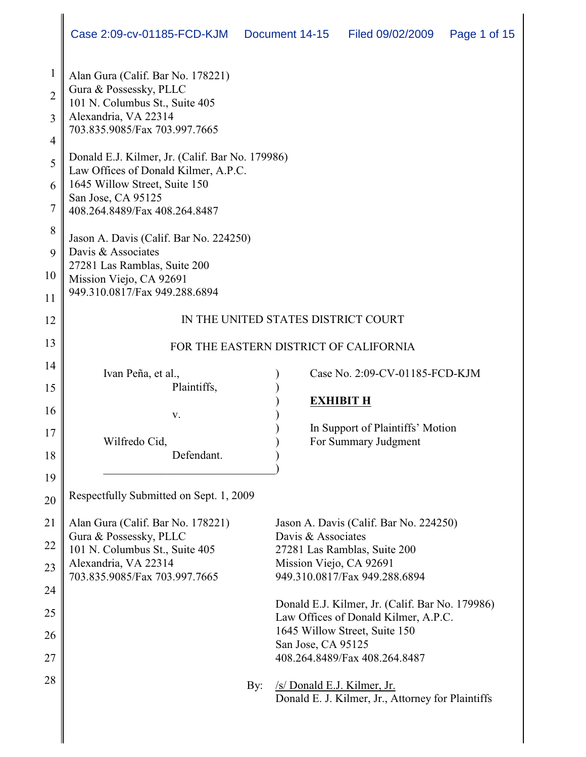| $\mathbf{1}$<br>$\overline{2}$<br>3<br>$\overline{4}$ | Alan Gura (Calif. Bar No. 178221)<br>Gura & Possessky, PLLC<br>101 N. Columbus St., Suite 405<br>Alexandria, VA 22314<br>703.835.9085/Fax 703.997.7665 |                                                                                  |
|-------------------------------------------------------|--------------------------------------------------------------------------------------------------------------------------------------------------------|----------------------------------------------------------------------------------|
| 5                                                     | Donald E.J. Kilmer, Jr. (Calif. Bar No. 179986)<br>Law Offices of Donald Kilmer, A.P.C.<br>1645 Willow Street, Suite 150                               |                                                                                  |
| 6                                                     |                                                                                                                                                        |                                                                                  |
| $\tau$                                                | San Jose, CA 95125<br>408.264.8489/Fax 408.264.8487                                                                                                    |                                                                                  |
| 8                                                     |                                                                                                                                                        |                                                                                  |
| 9                                                     | Jason A. Davis (Calif. Bar No. 224250)<br>Davis & Associates                                                                                           |                                                                                  |
| 10                                                    | 27281 Las Ramblas, Suite 200<br>Mission Viejo, CA 92691                                                                                                |                                                                                  |
| 11                                                    | 949.310.0817/Fax 949.288.6894                                                                                                                          |                                                                                  |
| 12                                                    | IN THE UNITED STATES DISTRICT COURT                                                                                                                    |                                                                                  |
| 13                                                    | FOR THE EASTERN DISTRICT OF CALIFORNIA                                                                                                                 |                                                                                  |
| 14                                                    | Ivan Peña, et al.,                                                                                                                                     | Case No. 2:09-CV-01185-FCD-KJM                                                   |
| 15                                                    | Plaintiffs,                                                                                                                                            |                                                                                  |
| 16                                                    | V.                                                                                                                                                     | <b>EXHIBIT H</b>                                                                 |
| 17                                                    |                                                                                                                                                        | In Support of Plaintiffs' Motion                                                 |
| 18                                                    | Wilfredo Cid,<br>Defendant.                                                                                                                            | For Summary Judgment                                                             |
| 19                                                    |                                                                                                                                                        |                                                                                  |
| 20                                                    | Respectfully Submitted on Sept. 1, 2009                                                                                                                |                                                                                  |
| 21                                                    | Alan Gura (Calif. Bar No. 178221)                                                                                                                      | Jason A. Davis (Calif. Bar No. 224250)                                           |
| 22                                                    | Gura & Possessky, PLLC<br>101 N. Columbus St., Suite 405                                                                                               | Davis & Associates<br>27281 Las Ramblas, Suite 200                               |
| 23                                                    | Alexandria, VA 22314                                                                                                                                   | Mission Viejo, CA 92691                                                          |
| 24                                                    | 703.835.9085/Fax 703.997.7665                                                                                                                          | 949.310.0817/Fax 949.288.6894                                                    |
| 25                                                    |                                                                                                                                                        | Donald E.J. Kilmer, Jr. (Calif. Bar No. 179986)                                  |
|                                                       |                                                                                                                                                        | Law Offices of Donald Kilmer, A.P.C.<br>1645 Willow Street, Suite 150            |
| 26                                                    |                                                                                                                                                        | San Jose, CA 95125                                                               |
| 27                                                    |                                                                                                                                                        | 408.264.8489/Fax 408.264.8487                                                    |
| 28                                                    | By:                                                                                                                                                    | /s/ Donald E.J. Kilmer, Jr.<br>Donald E. J. Kilmer, Jr., Attorney for Plaintiffs |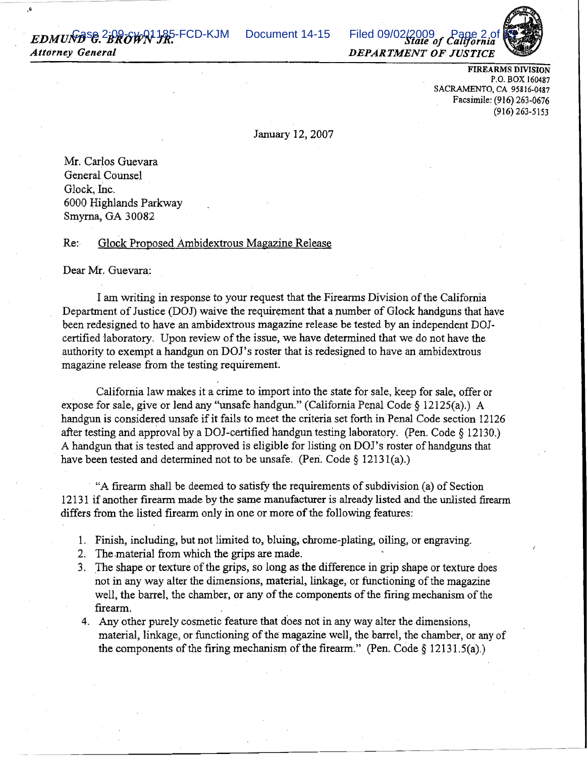*EDMUND* <sup>G.</sup> *BROWN* JR. FCD-KJM Document 14-15 Filed 09/02/2009 Page 2 of  $\mathbb{R}$ *Attorney General*

....



Facsimile: (916) 263-0676

(916) 263·5153

*DEPARTMENT OF JUSTICE* FIREARMS DIVISION P.O. BOX 160487 SACRAMENTO, CA 95816·0487

January 12, 2007

Mr. Carlos Guevara General Counsel Glock, Inc. 6000 Highlands Parkway Smyrna, GA 30082

Re: Glock Proposed Ambidextrous Magazine Release

Dear Mr. Guevara:

I am writing in response to your request that the Firearms Division ofthe California Department of Justice (DOJ) waive the requirement that a number of Glock handguns that have been redesigned to have an ambidextrous magazine release be tested by an independent DOJ· certified laboratory. Upon review of the issue, we have determined that we do not have the authority to exempt a handgun on DOl's roster that is redesigned to have an ambidextrous magazine release from the testing requirement.

California law makes it a crime to import into the state for sale, keep for sale, offer or expose for sale, give or lend any "unsafe handgun." (California Penal Code § 12125(a).) A handgun is considered unsafe if it fails to meet the criteria set forth in Penal Code section 12126 after testing and approval by a DOl-certified handgun testing laboratory. (Pen. Code § 12130.) A handgun that is tested and approved is eligible for listing on DO]'s roster of handguns that have been tested and determined not to be unsafe. (Pen. Code  $\S$  12131(a).)

 $A$  firearm shall be deemed to satisfy the requirements of subdivision (a) of Section 12131 if another firearm made by the same manufacturer is already listed and the unlisted firearm differs from the listed firearm only in one or more of the following features:

- 1. Finish, including~ but not limited to, bluing, chrome-plating, oiling, or engraving.
- 2. The material from which the grips are made.
- 3. The shape or texture of the grips, so long as the difference in grip shape or texture does not in any way alter the dimensions, material, linkage, or functioning of the magazine well, the barrel, the chamber, or any of the components of the firing mechanism of the firearm.
- 4. Any other purely cosmetic feature that does not in any way alter the dimensions, material, linkage, or functioning of the magazine well, the barrel, the chamber, or any of the components of the firing mechanism of the firearm." (Pen. Code  $\S$  12131.5(a).)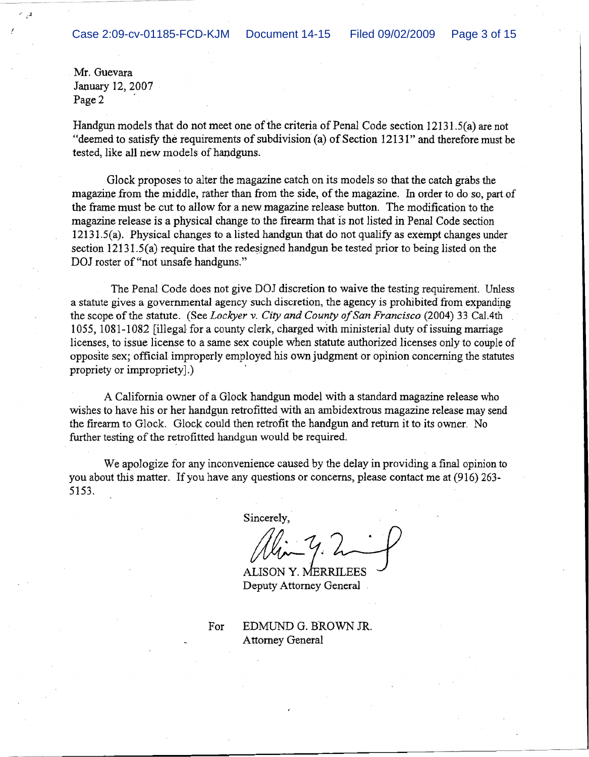Mr. Guevara January 12,2007 Page 2

Handgun models that do not meet one of the criteria of Penal Code section 12131.5(a) are not "deemed to satisfy the requirements of subdivision (a) of Section 12131" and therefore must be tested, like **all** new models of handguns.

Glock proposes to alter the magazine catch on its models so that the catch grabs the magazine from the middle, rather than from the side, of the magazine. In order to do so, part of the frame must be cut to allow for a new magazine release button. The modification to the magazine release is a physical change to the firearm that is not listed in Penal Code section 12131.5(a). Physical changes to a listed handgun that do not qualify as exempt changes under section 12131.5(a) require that the redesigned handgun be tested prior to being listed on the *DOl* roster of "not unsafe handguns."

The Penal Code does not give DOl discretion to waive the testing requiremerit. Unless a statute gives a governmental agency such discretion, the agency is prohibited from expandipg the scope ofthe statute. (See *Lockyer* v. *City and County afSan Francisco* (2004) 33 CalAth 1055, 1081-1082 [illegal for a county clerk, charged with ministerial duty of issuing marriage licenses, to issue license to a same sex couple when statute authorized licenses only to couple of opposite sex; official improperly employed his own judgment or opinion concerning the statutes propriety or impropriety].) ,

A California owner of a Glock handgun model with a standard magazine release who wishes to have his or her handgun retrofitted with an ambidextrous magazine release may send the firearm to Glock. Glock could then retrofit the handgun and return it to its owner. No further testing of the retrofitted handgun would be required.

We apologize for any inconvenience caused by the delay in providing a final opinion to you about this matter. If you have any questions or concerns, please contact me at (916) 263-5153.

Sincerely,.

14 - 7. 2 - P

ALISON Y. MERRILEES Deputy Attorney General

For EDMUND G. BROWN JR. Attorney General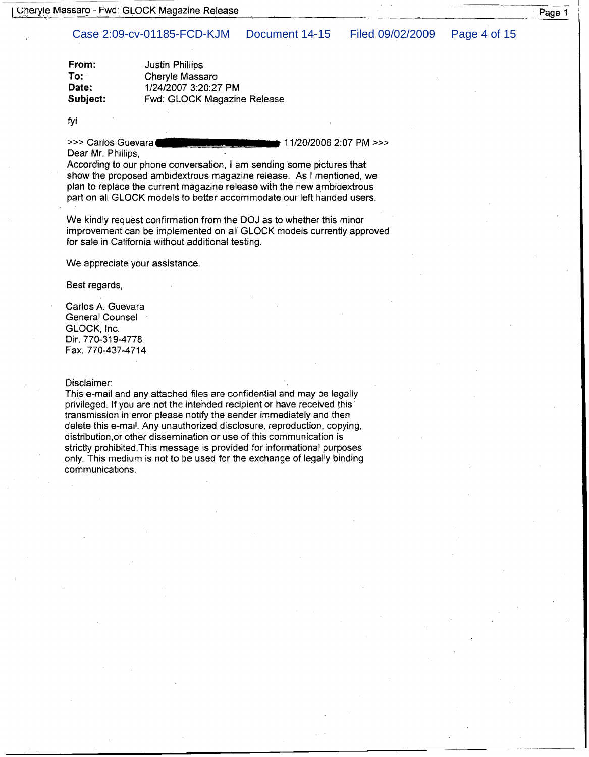### Case 2:09-cv-01185-FCD-KJM Document 14-15 Filed 09/02/2009 Page 4 of 15

| From:    | <b>Justin Phillips</b>      |
|----------|-----------------------------|
| To:      | Cheryle Massaro             |
| Date:    | 1/24/2007 3:20:27 PM        |
| Subject: | Fwd: GLOCK Magazine Release |

fyi

Dear Mr. Phillips,

>>> Carlos Guevara **11/20/2006 2:07 PM >>>** 

According to our phone conversation, I am sending some pictures that show the proposed ambidextrous magazine release. As I mentioned, we plan to replace the current magazine release with the new ambidextrous part on all GLOCK models to better accommodate our left handed users.

We kindly request confirmation from the DOJ as to whether this minor improvement can be implemented on all GLOCK models currently approved for sale in California without additional testing.

We appreciate your assistance.

Best regards,

Carlos A. Guevara General Counsel GLOCK, Inc. Dir.770-319-4778 Fax. 770-437-4714

#### Disclaimer:

This e-mail and any attached files are confidential and may be legally privileged. If you are not the intehded recipient or have received this' transmission in error please notify the sender immediately and then delete this e-mail. Any unauthorized disclosure, reproduction, copying, distribution,or other dissemination or use of this communication is strictly prohibited.This message is provided for informational purposes only. This medium is not to be used for the exchange of legally binding communications.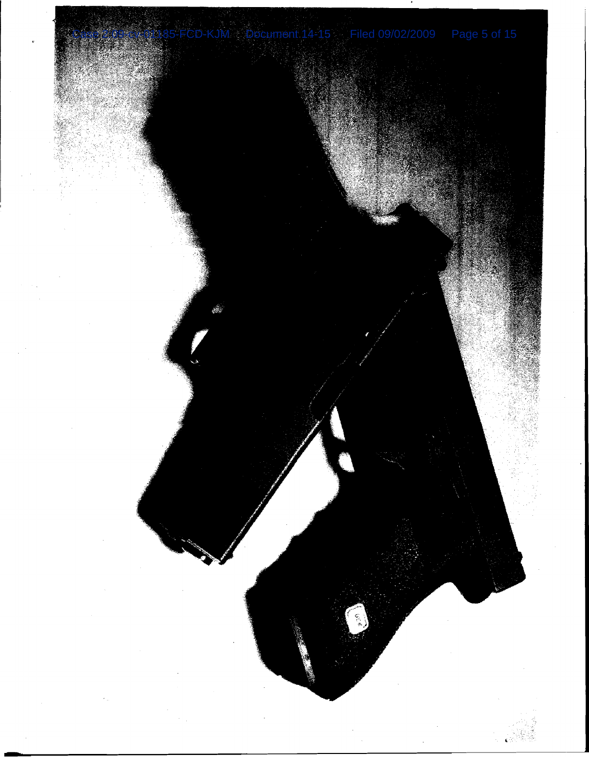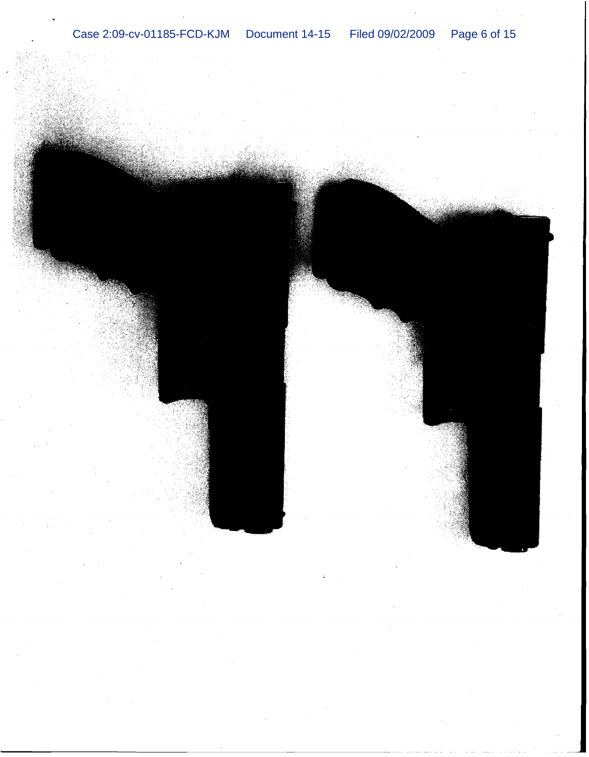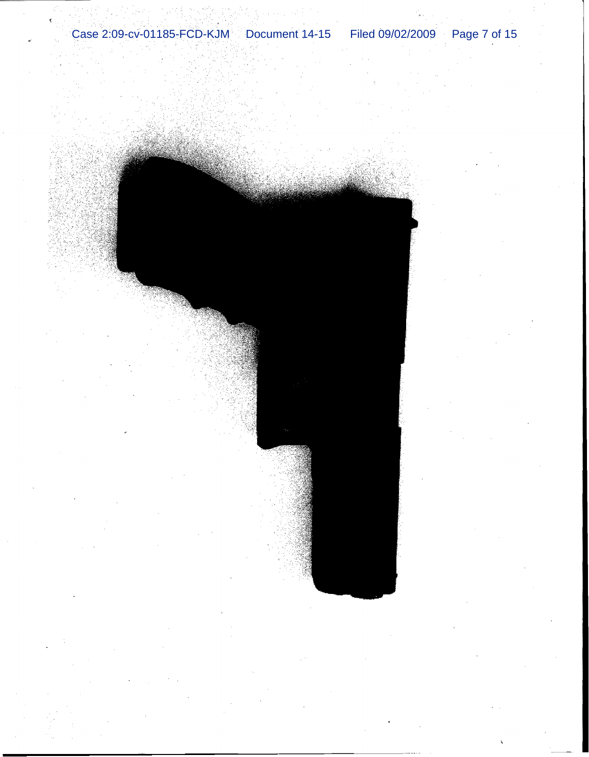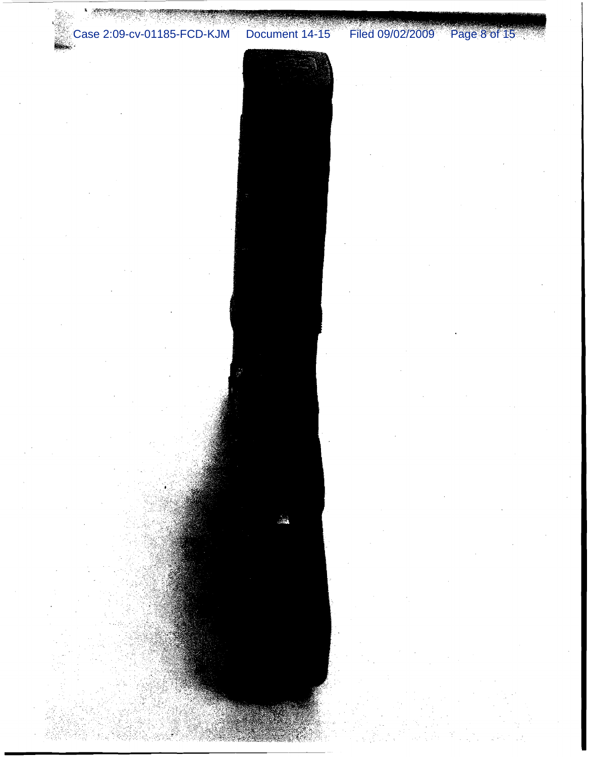# Case 2:09-cv-01185-FCD-KJM

# Document 14-15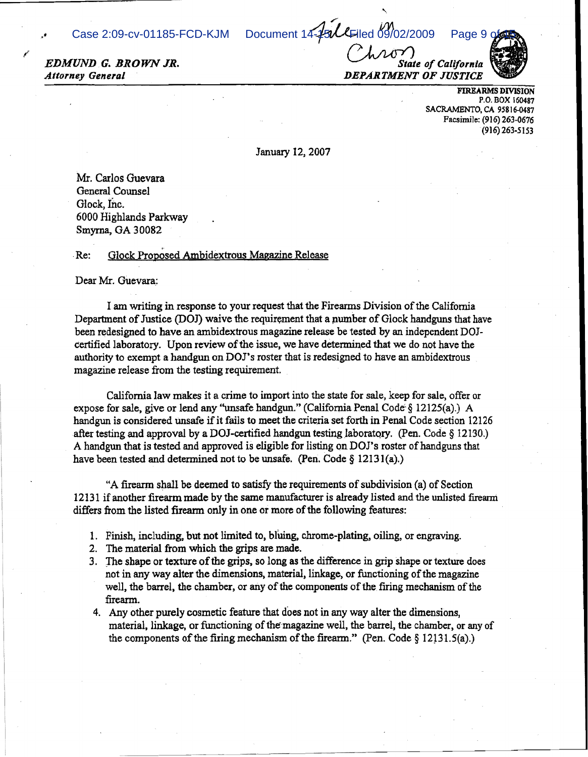*EDMUND G. BROWN JR.* **Attorney** *General* 

Case 2:09-cv-01185-FCD-KJM Document 14-15 Filed 09/02/2009 Page 9 of 15<br>Chronic California *DEPARTMENT OF JUSTICE •*



FIREARMS DIVISION P.O. BOX 160487 SACRAMENTO. CA 95816-0487 Facsimile: (916) 263-0676 (916)263-5153

January 12, 2007

Mr. Carlos Guevara General Counsel Glock, Inc. 6000 Highlands Parkway Smyrna, GA 30082

#### .Re: Glock Proposed Ambidextrous Magazine Release

Dear Mr. Guevara.:

I am writing in response to your request that the Firearms Division ofthe California Department of Justice (DOJ) waive the requirement that a number of Glock handguns that have been redesigned to have an ambidextrous magazine release be tested by an independent DOJcertified laboratory. Upon review of the issue, we have determined that we do not have the authority to exempt a handgun on DOJ's roster that is redesigned to have an ambidextrous magazine release from the testing requirement.

California law makes it a crime to import into the state for sale, keep for sale, offer or expose for sale, give or lend any "unsafe handgun." (California Penal Code'§ 12125(a).) A handgun is considered unsafe if it fails to meet the criteria set forth in Penal Code section 12126 after testing and approval by a DOJ-certified handgun testing laboratory. (Pen. Code § 12130.) A handgun that is tested and approved is eligible for listing on DOl's roster ofhandguns that have been tested and determined not to be unsafe. (Pen. Code  $\S$  12131(a).)

"A firearm shall be deemed to satisfy the requirements of subdivision (a) of Section 12131 if another firearm made by the same manufacturer is already listed and the unlisted firearm differs from the listed firearm only in one or more of the following features:

- 1. Finish, including, but not limited to, bluing, chrome-plating, oiling, or engraving.
- 2. The material from which the grips are made.
- 3. The shape or texture of the grips, so long as the difference in grip shape or texture does not in any way alter the dimensions, material, linkage, or functioning of the magazine well, the barrel, the chamber, or any of the components of the firing mechanism of the firearm.
- 4. Any other purely cosmetic feature that does not in any way alter the dimensions, material, linkage, or functioning of the magazine well, the barrel, the chamber, or any of the components of the firing mechanism of the firearm." (Pen. Code  $\S$  12131.5(a).)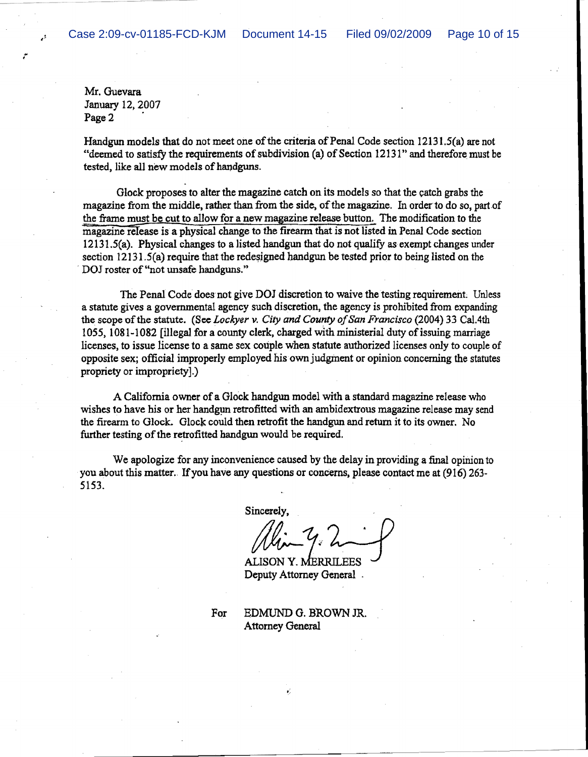Mr. Guevara January 12,2007 Page 2

. "

> Handgun models that do not meet one of the criteria of Penal Code section 12131.5(a) are not "deemed to satisfy the requirements of subdivision (a) of Section 12131" and therefore must be tested, like all new models of handguns.

> . Glock proposes to alter the magazine catch on its models so that the catch grabs the magazine from the middle, rather than from the side, of the magazine. In order to do so, part of the frame must be cut to allow for a new magazine release button. The modification to the magazine release is a physical change to the firearm that is not listed in Penal Code section 12131.5(a). Physical changes to a listed handgun that do notqualify as exempt changes under section  $12131.5(a)$  require that the redesigned handgun be tested prior to being listed on the , DOJ roster of "not unsafe handguns."

> The Penal Code does not give DOJ discretion to waive the testing requirement. Unless a statute gives a governmental agency such discretion, the agency is prohibited from expanding the scope ofthe statute. (See *Lockyer v. City and County ofSan Francisco* (2004) 33 Cal.4th 1055, 1081 1082 [illegal for a county clerk, charged with ministerial duty ofissuing marriage licenses, to issue license to a same sex couple when statute authorized licenses only to couple of opposite sex; official improperly employed his own judgment or opinion concerning the statutes propriety or impropriety].)

A California owner of a Glock handgun model with a standard magazine release who wishes to have his or her handgun retrofitted with an ambidextrous magazine release may send the firearm to Glock. Glock could then retrofit the handgun and return it to its owner. No further testing of the retrofitted handgun would be required.

We apologize for any inconvenience caused by the delay in providing a final opinion to you about this matter. Ifyou have any questions or concerns, please contact me at (916) 263- 5153.

Sincerely,

incerely,<br>*Min*  $y \sim 2$ 

ALISON Y. MERRILEES Deputy Attorney General .

For EDMUND G. BROWN JR. Attorney General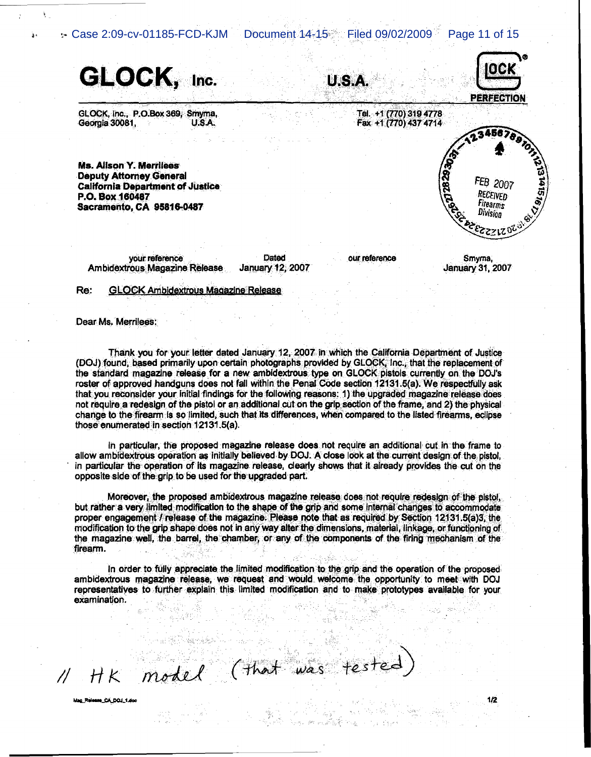Case 2:09-cv-01185-FCD-KJM

## Document 14-15 Filed 09/02/2009 Page 11 of 15

U.S.A

**nck** 

**PERFECTION** 

GLOCK, Inc.

į,

GLOCK, Inc., P.O.Box 369. Smvma. Georgia 30081.  $U.S.A.$ 

Ms. Allson Y. Merrilees **Deputy Attorney General California Department of Justice** P.O. Box 160487 **Sacramento, CA 95816-0487** 

vour reference Ambidextrous Magazine Release

Dated January 12, 2007 our reference



Smyma. January 31, 2007

 $1/2$ 

**GLOCK Ambidextrous Magazine Release** 

Dear Ms. Merrilees:

Re:

Thank you for your letter dated January 12, 2007 in which the California Department of Justice (DOJ) found, based primarily upon certain photographs provided by GLOCK, Inc., that the replacement of the standard magazine release for a new ambidextrous type on GLOCK pistols currently on the DOJ's roster of approved handguns does not fall within the Penal Code section 12131.5(a). We respectfully ask that you reconsider your initial findings for the following reasons: 1) the upgraded magazine release does not require a redesign of the pistol or an additional cut on the grip section of the frame, and 2) the physical change to the firearm is so limited, such that its differences, when compared to the listed firearms, eclipse those enumerated in section 12131.5(a).

In particular, the proposed magazine release does not require an additional cut in the frame to allow ambidextrous operation as initially believed by DOJ. A close look at the current design of the pistol, in particular the operation of its magazine release, clearly shows that it already provides the cut on the opposite side of the grip to be used for the upgraded part.

Moreover, the proposed ambidextrous magazine release does not require redesign of the pistol, but rather a very limited modification to the shape of the grip and some internal changes to accommodate proper engagement / release of the magazine. Please note that as regulred by Section 12131.5(a)3, the modification to the grip shape does not in any way alter the dimensions, material, linkage, or functioning of the magazine well, the barrel, the chamber, or any of the components of the firing mechanism of the firearm.

In order to fully appreciate the limited modification to the grip and the operation of the proposed ambidextrous magazine release, we request and would welcome the opportunity to meet with DOJ representatives to further explain this limited modification and to make prototypes available for your examination.

na Kilo Igrije (1963)<br>Smalt materije populacije

 $\{a_{i}\}$  , where  $\{a_{i}\}$ 

model (that was tested

초감해되

ไ นั่งอาหาร์ ตั้งเรือ ไป 25

Mag Release CA DOJ 1.8cc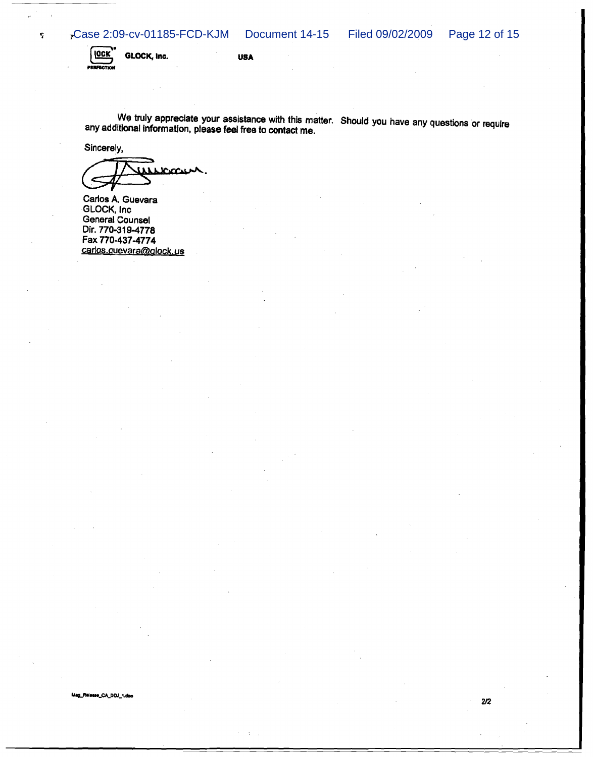Case 2:09-cv-01185-FCD-KJM Document 14-15 Filed 09/02/2009 Page 12 of 15



ę

**USA**

We truly appreciate your assistance with this matter. Should you have any questions or require any additional information, please feel free to contact me.

Sincerely,

 $\Gamma$ 

Carlos A. Guevara GLOCK, Inc General Counsel Oir.770-319-4778 Fax 770-437-4774 carlos.guevara@glock.us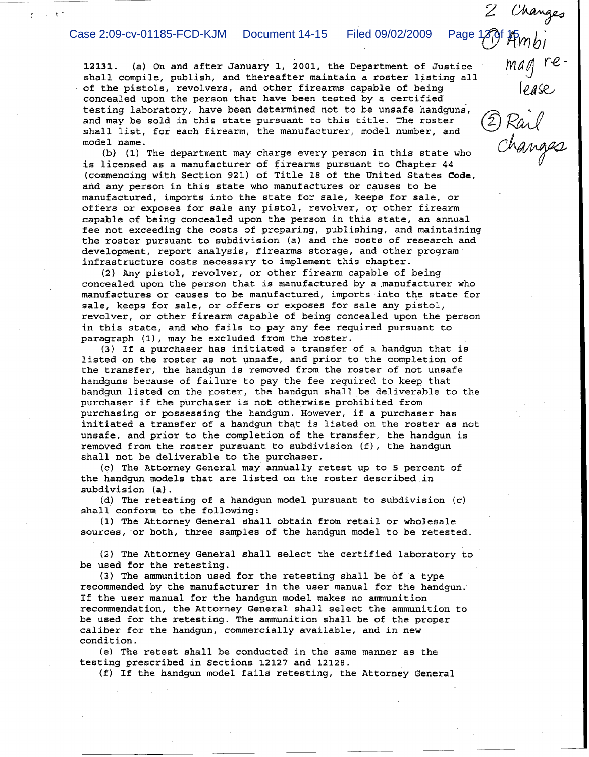, '

12131. (a) On and after January I, 2001, the Department of Justice shall compile, publish, and thereafter maintain <sup>a</sup> roster listing all of the pistols, revolvers, and other firearms capable of being concealed upon the person that have been tested by a certified testing laboratory, have been determined not to be unsafe handguns, and may be sold in this state pursuant to this title. The roster shall list, for each firearm, the manufacturer, model number, and model name.

(b) (1) The department may charge every person in this state who is licensed as <sup>a</sup> manufacturer of firearms pursuant to Chapter <sup>44</sup> (commencing with Section 921) of Title 18 of the United states Code, and any person in this state who manufactures or causes to be manufactured, imports into the state for sale, keeps for sale, or offers or exposes for sale any pistol, revolver, or other firearm capable of being concealed upon the person in this state, an annual fee not exceeding the costs of preparing, publishing, and maintaining the roster pursuant to subdivision (a) and the costs of research and development, report analysis, firearms storage, and other program infrastructure costs necessary to implement this chapter.

(2) Any pistol, revolver, or other firearm capable of being concealed upon the person that is manufactured by a manufacturer who manufactures or causes to be manufactured, imports into the state for sale, keeps for sale, or offers or exposes for sale any pistol, revolver, or other firearm capable of being concealed upon the person in this state, and who fails to pay any fee required pursuant to paragraph (1), may be excluded from the roster.

(3) If a purchaser has initiated a transfer of a handgun that is listed on the roster as not unsafe, and prior to the completion of the transfer, the handgun is removed from the roster of not unsafe handguns because of failure to pay the fee required to keep that handgun listed on the roster, the handgun shall be deliverable to the purchaser if the purchaser is not otherwise prohibited from purchasing or possessing the handgun. However, if <sup>a</sup> purchaser has initiated a transfer of a handgun that is listed on the roster as not unsafe, and prior to the completion of the transfer, the handgun is removed from the roster pursuant to subdivision (f), the handgun shall not be deliverable to the purchaser.

(c) The Attorney General may annually retest up to 5 percent of the handgun models that are listed on the roster described in subdivision (a).

(d) The retesting of a handgun model pursuant to subdivision *(c)* shall conform to the following:

(1) The Attorney General shall obtain from retail or wholesale sources, or both, three samples of the handgun model to be retested.

(2) The Attorney General shall select the certified laboratory to be used for the retesting.

(3) The ammunition used for the retesting shall be of 'a type recommended by the manufacturer in the user manual for the handgun: If the user manual for the handgun model makes no ammunition recommendation, the Attorney General shall select the ammunition to be used for the retesting. The ammunition shall be of the proper caliber for the handgun, commercially available, and in new condition.

(e) The retest shall be conducted in the same manner as the testing prescribed in Sections 12127 and 12128.

(f) If the handgun model fails retesting, the Attorney General

 $^{18}$ <sup>or</sup> Ambi *mag r-e-*∣ease

2 Changes

Rail<br>Changes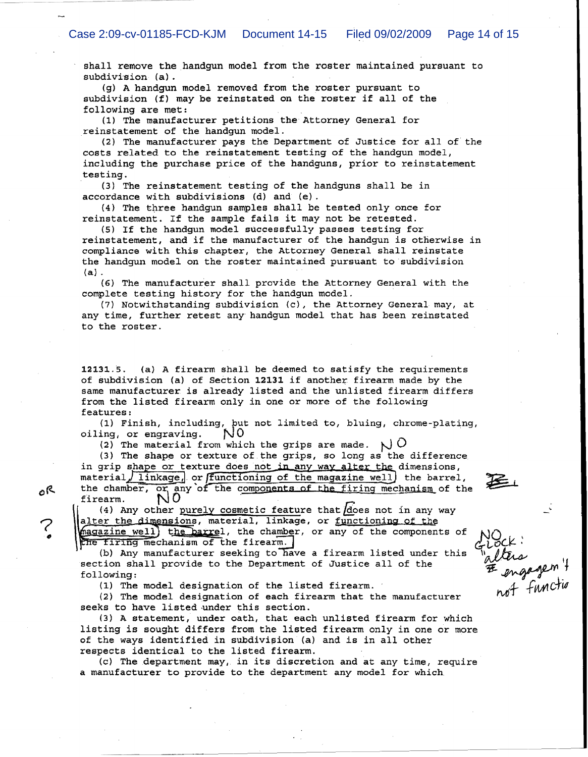shall remove the handgun model from the roster maintained pursuant to subdivision (a).

(g) A handgun model removed from the roster pursuant to subdivision (f) may be reinstated on the roster if all of the following are met:

(1) The manufacturer petitions the Attorney General for reinstatement of the handgun model.

(2) The manufacturer pays the Department of Justice for all of the costs related to the reinstatement testing of the handgun model, including the purchase price of the handguns, prior to reinstatement testing.

. (3) The reinstatement testing of the handguns shall be in accordance with subdivisions (d) and (e).

 $(4)$  The three handgun samples shall be tested only once for reinstatement. If the sample fails it may not be retested.

(S) If the handgun model successfully passes testing for reinstatement, and if the manufacturer of the handgun is otherwise in compliance with this chapter, the Attorney General shall reinstate the handgun model on the roster maintained pursuant to subdivision  $(a)$ .

(6) The manufacturer shall provide the Attorney General with the complete testing history for the handgun model.

(?) Notwithstanding subdivision *{C}I* the Attorney General may, at any time, further retest any handgun model that has been reinstated to the roster.

12131.5. (a) A firearm shall be deemed to satisfy the requirements of subdivision (a) of Section 12131 if another firearm made by the same manufacturer *is* already listed and the unlisted firearm differs from the listed firearm only *in* one or more of the following features:

(1) Finish, including, but not limited to, bluing, chrome-plating, ing, or engraving.  $\bigvee 0$ oiling, or engraving.

(2) The material from which the grips are made.  $\bigwedge$  O

 $(3)$  The shape or texture of the grips, so long as the difference in grip shape or texture does not in any way alter the dimensions, material<u>/linkage, or functioning of the magazine wel</u>l the barrel, the chamber, or any of the components of the firing mechanism of the firearm.  $\bigwedge^{\bullet}O$ firearm.

(4) Any other purely cosmetic feature that  $d$  oes not in any way alter the dimensions, material, linkage, or functioning of the magazine well) the barrel, the chamber, or any of the components of the firing mechanism of the firearm.

(b) Any manufacturer seeking to have a firearm listed under this section shall provide to the Department of Justice all of the following:

 $(1)$  The model designation of the listed firearm.

?.,

oR

(2) The model designation of each firearm that the manufacturer seeks to have listed under this section.

(3) A statement, under oath, that each unlisted firearm for which listing is sought differs from the listed firearm only in one or more and is in all otherwise the subdivision (a) and is in all other respects identical to the listed firearm.

(c) The department may, in its discretion and at any time, require a manufacturer to provide to the department any model for which

llers<br>- engagem 4<br>not functio

---------------------